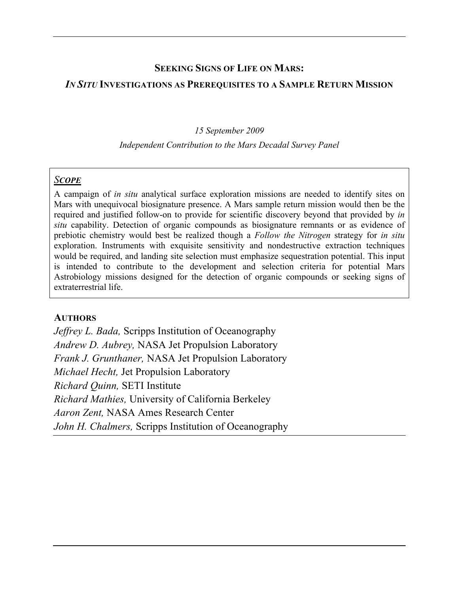## **SEEKING SIGNS OF LIFE ON MARS:**

#### *IN SITU* **INVESTIGATIONS AS PREREQUISITES TO A SAMPLE RETURN MISSION**

#### *15 September 2009*

#### *Independent Contribution to the Mars Decadal Survey Panel*

#### *SCOPE*

A campaign of *in situ* analytical surface exploration missions are needed to identify sites on Mars with unequivocal biosignature presence. A Mars sample return mission would then be the required and justified follow-on to provide for scientific discovery beyond that provided by *in situ* capability. Detection of organic compounds as biosignature remnants or as evidence of prebiotic chemistry would best be realized though a *Follow the Nitrogen* strategy for *in situ* exploration. Instruments with exquisite sensitivity and nondestructive extraction techniques would be required, and landing site selection must emphasize sequestration potential. This input is intended to contribute to the development and selection criteria for potential Mars Astrobiology missions designed for the detection of organic compounds or seeking signs of extraterrestrial life.

### **AUTHORS**

*Jeffrey L. Bada,* Scripps Institution of Oceanography *Andrew D. Aubrey,* NASA Jet Propulsion Laboratory *Frank J. Grunthaner,* NASA Jet Propulsion Laboratory *Michael Hecht,* Jet Propulsion Laboratory *Richard Quinn,* SETI Institute *Richard Mathies,* University of California Berkeley *Aaron Zent,* NASA Ames Research Center *John H. Chalmers,* Scripps Institution of Oceanography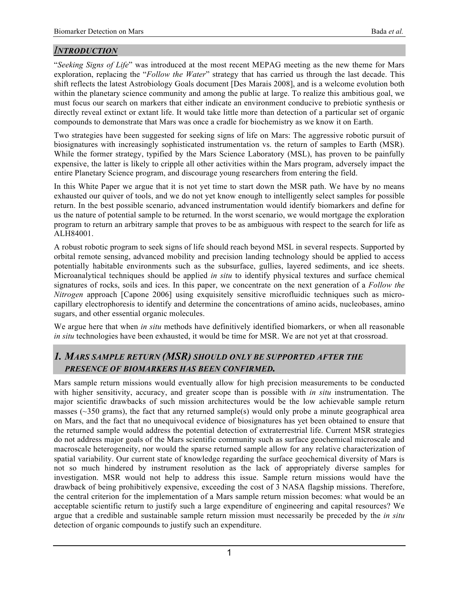# *INTRODUCTION*

"*Seeking Signs of Life*" was introduced at the most recent MEPAG meeting as the new theme for Mars exploration, replacing the "*Follow the Water*" strategy that has carried us through the last decade. This shift reflects the latest Astrobiology Goals document [Des Marais 2008], and is a welcome evolution both within the planetary science community and among the public at large. To realize this ambitious goal, we must focus our search on markers that either indicate an environment conducive to prebiotic synthesis or directly reveal extinct or extant life. It would take little more than detection of a particular set of organic compounds to demonstrate that Mars was once a cradle for biochemistry as we know it on Earth.

Two strategies have been suggested for seeking signs of life on Mars: The aggressive robotic pursuit of biosignatures with increasingly sophisticated instrumentation vs. the return of samples to Earth (MSR). While the former strategy, typified by the Mars Science Laboratory (MSL), has proven to be painfully expensive, the latter is likely to cripple all other activities within the Mars program, adversely impact the entire Planetary Science program, and discourage young researchers from entering the field.

In this White Paper we argue that it is not yet time to start down the MSR path. We have by no means exhausted our quiver of tools, and we do not yet know enough to intelligently select samples for possible return. In the best possible scenario, advanced instrumentation would identify biomarkers and define for us the nature of potential sample to be returned. In the worst scenario, we would mortgage the exploration program to return an arbitrary sample that proves to be as ambiguous with respect to the search for life as ALH84001.

A robust robotic program to seek signs of life should reach beyond MSL in several respects. Supported by orbital remote sensing, advanced mobility and precision landing technology should be applied to access potentially habitable environments such as the subsurface, gullies, layered sediments, and ice sheets. Microanalytical techniques should be applied *in situ* to identify physical textures and surface chemical signatures of rocks, soils and ices. In this paper, we concentrate on the next generation of a *Follow the Nitrogen* approach [Capone 2006] using exquisitely sensitive microfluidic techniques such as microcapillary electrophoresis to identify and determine the concentrations of amino acids, nucleobases, amino sugars, and other essential organic molecules.

We argue here that when *in situ* methods have definitively identified biomarkers, or when all reasonable *in situ* technologies have been exhausted, it would be time for MSR. We are not yet at that crossroad.

# *1. MARS SAMPLE RETURN (MSR) SHOULD ONLY BE SUPPORTED AFTER THE PRESENCE OF BIOMARKERS HAS BEEN CONFIRMED.*

Mars sample return missions would eventually allow for high precision measurements to be conducted with higher sensitivity, accuracy, and greater scope than is possible with *in situ* instrumentation. The major scientific drawbacks of such mission architectures would be the low achievable sample return masses ( $\sim$ 350 grams), the fact that any returned sample(s) would only probe a minute geographical area on Mars, and the fact that no unequivocal evidence of biosignatures has yet been obtained to ensure that the returned sample would address the potential detection of extraterrestrial life. Current MSR strategies do not address major goals of the Mars scientific community such as surface geochemical microscale and macroscale heterogeneity, nor would the sparse returned sample allow for any relative characterization of spatial variability. Our current state of knowledge regarding the surface geochemical diversity of Mars is not so much hindered by instrument resolution as the lack of appropriately diverse samples for investigation. MSR would not help to address this issue. Sample return missions would have the drawback of being prohibitively expensive, exceeding the cost of 3 NASA flagship missions. Therefore, the central criterion for the implementation of a Mars sample return mission becomes: what would be an acceptable scientific return to justify such a large expenditure of engineering and capital resources? We argue that a credible and sustainable sample return mission must necessarily be preceded by the *in situ* detection of organic compounds to justify such an expenditure.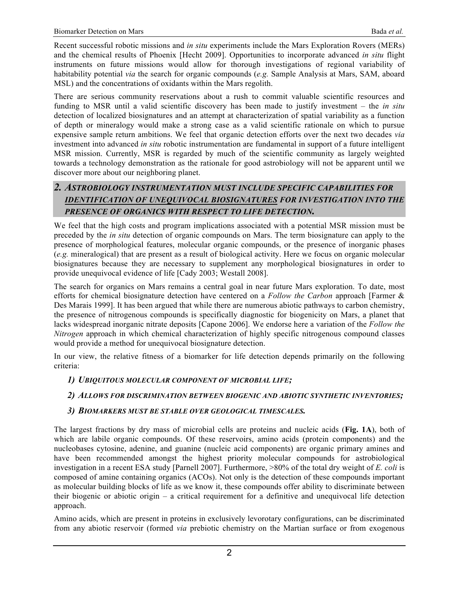Recent successful robotic missions and *in situ* experiments include the Mars Exploration Rovers (MERs) and the chemical results of Phoenix [Hecht 2009]. Opportunities to incorporate advanced *in situ* flight instruments on future missions would allow for thorough investigations of regional variability of habitability potential *via* the search for organic compounds (*e.g.* Sample Analysis at Mars, SAM, aboard MSL) and the concentrations of oxidants within the Mars regolith.

There are serious community reservations about a rush to commit valuable scientific resources and funding to MSR until a valid scientific discovery has been made to justify investment – the *in situ* detection of localized biosignatures and an attempt at characterization of spatial variability as a function of depth or mineralogy would make a strong case as a valid scientific rationale on which to pursue expensive sample return ambitions. We feel that organic detection efforts over the next two decades *via* investment into advanced *in situ* robotic instrumentation are fundamental in support of a future intelligent MSR mission. Currently, MSR is regarded by much of the scientific community as largely weighted towards a technology demonstration as the rationale for good astrobiology will not be apparent until we discover more about our neighboring planet.

## *2. ASTROBIOLOGY INSTRUMENTATION MUST INCLUDE SPECIFIC CAPABILITIES FOR IDENTIFICATION OF UNEQUIVOCAL BIOSIGNATURES FOR INVESTIGATION INTO THE PRESENCE OF ORGANICS WITH RESPECT TO LIFE DETECTION.*

We feel that the high costs and program implications associated with a potential MSR mission must be preceded by the *in situ* detection of organic compounds on Mars. The term biosignature can apply to the presence of morphological features, molecular organic compounds, or the presence of inorganic phases (*e.g.* mineralogical) that are present as a result of biological activity. Here we focus on organic molecular biosignatures because they are necessary to supplement any morphological biosignatures in order to provide unequivocal evidence of life [Cady 2003; Westall 2008].

The search for organics on Mars remains a central goal in near future Mars exploration. To date, most efforts for chemical biosignature detection have centered on a *Follow the Carbon* approach [Farmer & Des Marais 1999]. It has been argued that while there are numerous abiotic pathways to carbon chemistry, the presence of nitrogenous compounds is specifically diagnostic for biogenicity on Mars, a planet that lacks widespread inorganic nitrate deposits [Capone 2006]. We endorse here a variation of the *Follow the Nitrogen* approach in which chemical characterization of highly specific nitrogenous compound classes would provide a method for unequivocal biosignature detection.

In our view, the relative fitness of a biomarker for life detection depends primarily on the following criteria:

### *1) UBIQUITOUS MOLECULAR COMPONENT OF MICROBIAL LIFE;*

## *2) ALLOWS FOR DISCRIMINATION BETWEEN BIOGENIC AND ABIOTIC SYNTHETIC INVENTORIES;*

### *3) BIOMARKERS MUST BE STABLE OVER GEOLOGICAL TIMESCALES.*

The largest fractions by dry mass of microbial cells are proteins and nucleic acids (**Fig. 1A**), both of which are labile organic compounds. Of these reservoirs, amino acids (protein components) and the nucleobases cytosine, adenine, and guanine (nucleic acid components) are organic primary amines and have been recommended amongst the highest priority molecular compounds for astrobiological investigation in a recent ESA study [Parnell 2007]. Furthermore, >80% of the total dry weight of *E. coli* is composed of amine containing organics (ACOs). Not only is the detection of these compounds important as molecular building blocks of life as we know it, these compounds offer ability to discriminate between their biogenic or abiotic origin – a critical requirement for a definitive and unequivocal life detection approach.

Amino acids, which are present in proteins in exclusively levorotary configurations, can be discriminated from any abiotic reservoir (formed *via* prebiotic chemistry on the Martian surface or from exogenous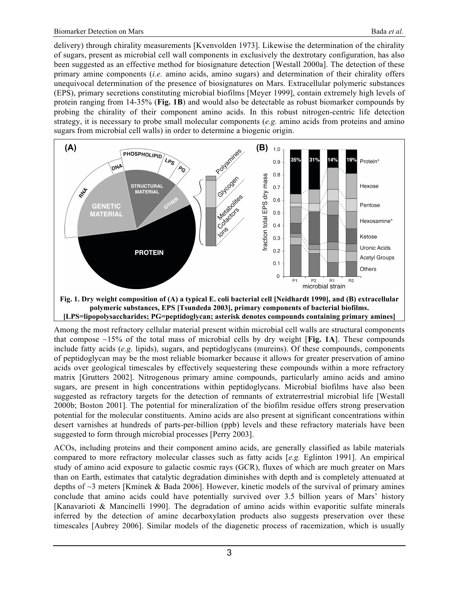delivery) through chirality measurements [Kvenvolden 1973]. Likewise the determination of the chirality of sugars, present as microbial cell wall components in exclusively the dextrotary configuration, has also been suggested as an effective method for biosignature detection [Westall 2000a]. The detection of these primary amine components (*i.e.* amino acids, amino sugars) and determination of their chirality offers unequivocal determination of the presence of biosignatures on Mars. Extracellular polymeric substances (EPS), primary secretions constituting microbial biofilms [Meyer 1999], contain extremely high levels of protein ranging from 14-35% (**Fig. 1B**) and would also be detectable as robust biomarker compounds by probing the chirality of their component amino acids. In this robust nitrogen-centric life detection strategy, it is necessary to probe small molecular components (*e.g.* amino acids from proteins and amino sugars from microbial cell walls) in order to determine a biogenic origin.



**polymeric substances, EPS [Tsundeda 2003], primary components of bacterial biofilms. [LPS=lipopolysaccharides; PG=peptidoglycan; asterisk denotes compounds containing primary amines]**

Among the most refractory cellular material present within microbial cell walls are structural components that compose  $\sim$ 15% of the total mass of microbial cells by dry weight [Fig. 1A]. These compounds include fatty acids (*e.g.* lipids), sugars, and peptidoglycans (mureins). Of these compounds, components of peptidoglycan may be the most reliable biomarker because it allows for greater preservation of amino acids over geological timescales by effectively sequestering these compounds within a more refractory matrix [Grutters 2002]. Nitrogenous primary amine compounds, particularly amino acids and amino sugars, are present in high concentrations within peptidoglycans. Microbial biofilms have also been suggested as refractory targets for the detection of remnants of extraterrestrial microbial life [Westall 2000b; Boston 2001]. The potential for mineralization of the biofilm residue offers strong preservation potential for the molecular constituents. Amino acids are also present at significant concentrations within desert varnishes at hundreds of parts-per-billion (ppb) levels and these refractory materials have been suggested to form through microbial processes [Perry 2003].

ACOs, including proteins and their component amino acids, are generally classified as labile materials compared to more refractory molecular classes such as fatty acids [*e.g.* Eglinton 1991]. An empirical study of amino acid exposure to galactic cosmic rays (GCR), fluxes of which are much greater on Mars than on Earth, estimates that catalytic degradation diminishes with depth and is completely attenuated at depths of  $\sim$ 3 meters [Kminek & Bada 2006]. However, kinetic models of the survival of primary amines conclude that amino acids could have potentially survived over 3.5 billion years of Mars' history [Kanavarioti & Mancinelli 1990]. The degradation of amino acids within evaporitic sulfate minerals inferred by the detection of amine decarboxylation products also suggests preservation over these timescales [Aubrey 2006]. Similar models of the diagenetic process of racemization, which is usually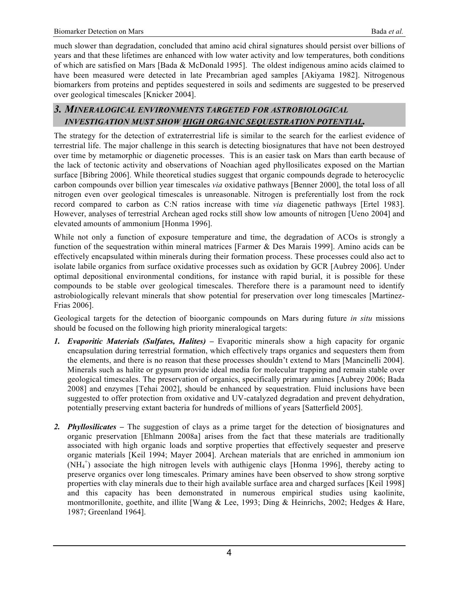much slower than degradation, concluded that amino acid chiral signatures should persist over billions of years and that these lifetimes are enhanced with low water activity and low temperatures, both conditions of which are satisfied on Mars [Bada & McDonald 1995]. The oldest indigenous amino acids claimed to have been measured were detected in late Precambrian aged samples [Akiyama 1982]. Nitrogenous biomarkers from proteins and peptides sequestered in soils and sediments are suggested to be preserved over geological timescales [Knicker 2004].

# *3. MINERALOGICAL ENVIRONMENTS TARGETED FOR ASTROBIOLOGICAL INVESTIGATION MUST SHOW HIGH ORGANIC SEQUESTRATION POTENTIAL.*

The strategy for the detection of extraterrestrial life is similar to the search for the earliest evidence of terrestrial life. The major challenge in this search is detecting biosignatures that have not been destroyed over time by metamorphic or diagenetic processes. This is an easier task on Mars than earth because of the lack of tectonic activity and observations of Noachian aged phyllosilicates exposed on the Martian surface [Bibring 2006]. While theoretical studies suggest that organic compounds degrade to heterocyclic carbon compounds over billion year timescales *via* oxidative pathways [Benner 2000], the total loss of all nitrogen even over geological timescales is unreasonable. Nitrogen is preferentially lost from the rock record compared to carbon as C:N ratios increase with time *via* diagenetic pathways [Ertel 1983]. However, analyses of terrestrial Archean aged rocks still show low amounts of nitrogen [Ueno 2004] and elevated amounts of ammonium [Honma 1996].

While not only a function of exposure temperature and time, the degradation of ACOs is strongly a function of the sequestration within mineral matrices [Farmer & Des Marais 1999]. Amino acids can be effectively encapsulated within minerals during their formation process. These processes could also act to isolate labile organics from surface oxidative processes such as oxidation by GCR [Aubrey 2006]. Under optimal depositional environmental conditions, for instance with rapid burial, it is possible for these compounds to be stable over geological timescales. Therefore there is a paramount need to identify astrobiologically relevant minerals that show potential for preservation over long timescales [Martinez-Frias 2006].

Geological targets for the detection of bioorganic compounds on Mars during future *in situ* missions should be focused on the following high priority mineralogical targets:

- *1. Evaporitic Materials (Sulfates, Halites) –* Evaporitic minerals show a high capacity for organic encapsulation during terrestrial formation, which effectively traps organics and sequesters them from the elements, and there is no reason that these processes shouldn't extend to Mars [Mancinelli 2004]. Minerals such as halite or gypsum provide ideal media for molecular trapping and remain stable over geological timescales. The preservation of organics, specifically primary amines [Aubrey 2006; Bada 2008] and enzymes [Tehai 2002], should be enhanced by sequestration. Fluid inclusions have been suggested to offer protection from oxidative and UV-catalyzed degradation and prevent dehydration, potentially preserving extant bacteria for hundreds of millions of years [Satterfield 2005].
- *2. Phyllosilicates –* The suggestion of clays as a prime target for the detection of biosignatures and organic preservation [Ehlmann 2008a] arises from the fact that these materials are traditionally associated with high organic loads and sorptive properties that effectively sequester and preserve organic materials [Keil 1994; Mayer 2004]. Archean materials that are enriched in ammonium ion (NH<sub>4</sub><sup>+</sup>) associate the high nitrogen levels with authigenic clays [Honma 1996], thereby acting to preserve organics over long timescales. Primary amines have been observed to show strong sorptive properties with clay minerals due to their high available surface area and charged surfaces [Keil 1998] and this capacity has been demonstrated in numerous empirical studies using kaolinite, montmorillonite, goethite, and illite [Wang & Lee, 1993; Ding & Heinrichs, 2002; Hedges & Hare, 1987; Greenland 1964].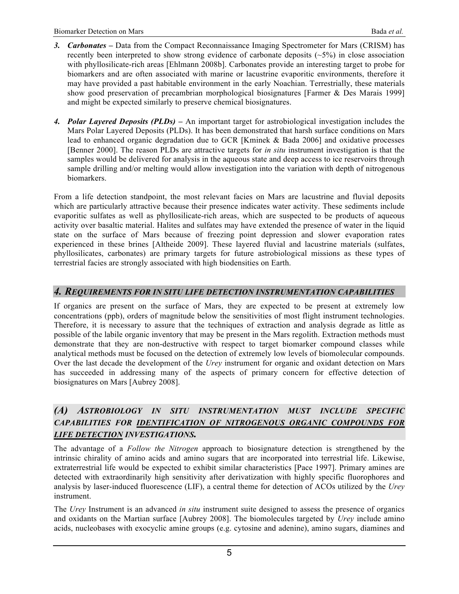- *3. Carbonates –* Data from the Compact Reconnaissance Imaging Spectrometer for Mars (CRISM) has recently been interpreted to show strong evidence of carbonate deposits  $(-5%)$  in close association with phyllosilicate-rich areas [Ehlmann 2008b]. Carbonates provide an interesting target to probe for biomarkers and are often associated with marine or lacustrine evaporitic environments, therefore it may have provided a past habitable environment in the early Noachian. Terrestrially, these materials show good preservation of precambrian morphological biosignatures [Farmer & Des Marais 1999] and might be expected similarly to preserve chemical biosignatures.
- *4. Polar Layered Deposits (PLDs) –* An important target for astrobiological investigation includes the Mars Polar Layered Deposits (PLDs). It has been demonstrated that harsh surface conditions on Mars lead to enhanced organic degradation due to GCR [Kminek & Bada 2006] and oxidative processes [Benner 2000]. The reason PLDs are attractive targets for *in situ* instrument investigation is that the samples would be delivered for analysis in the aqueous state and deep access to ice reservoirs through sample drilling and/or melting would allow investigation into the variation with depth of nitrogenous biomarkers.

From a life detection standpoint, the most relevant facies on Mars are lacustrine and fluvial deposits which are particularly attractive because their presence indicates water activity. These sediments include evaporitic sulfates as well as phyllosilicate-rich areas, which are suspected to be products of aqueous activity over basaltic material. Halites and sulfates may have extended the presence of water in the liquid state on the surface of Mars because of freezing point depression and slower evaporation rates experienced in these brines [Altheide 2009]. These layered fluvial and lacustrine materials (sulfates, phyllosilicates, carbonates) are primary targets for future astrobiological missions as these types of terrestrial facies are strongly associated with high biodensities on Earth.

### *4. REQUIREMENTS FOR IN SITU LIFE DETECTION INSTRUMENTATION CAPABILITIES*

If organics are present on the surface of Mars, they are expected to be present at extremely low concentrations (ppb), orders of magnitude below the sensitivities of most flight instrument technologies. Therefore, it is necessary to assure that the techniques of extraction and analysis degrade as little as possible of the labile organic inventory that may be present in the Mars regolith. Extraction methods must demonstrate that they are non-destructive with respect to target biomarker compound classes while analytical methods must be focused on the detection of extremely low levels of biomolecular compounds. Over the last decade the development of the *Urey* instrument for organic and oxidant detection on Mars has succeeded in addressing many of the aspects of primary concern for effective detection of biosignatures on Mars [Aubrey 2008].

## *(A) ASTROBIOLOGY IN SITU INSTRUMENTATION MUST INCLUDE SPECIFIC CAPABILITIES FOR IDENTIFICATION OF NITROGENOUS ORGANIC COMPOUNDS FOR LIFE DETECTION INVESTIGATIONS.*

The advantage of a *Follow the Nitrogen* approach to biosignature detection is strengthened by the intrinsic chirality of amino acids and amino sugars that are incorporated into terrestrial life. Likewise, extraterrestrial life would be expected to exhibit similar characteristics [Pace 1997]. Primary amines are detected with extraordinarily high sensitivity after derivatization with highly specific fluorophores and analysis by laser-induced fluorescence (LIF), a central theme for detection of ACOs utilized by the *Urey* instrument.

The *Urey* Instrument is an advanced *in situ* instrument suite designed to assess the presence of organics and oxidants on the Martian surface [Aubrey 2008]. The biomolecules targeted by *Urey* include amino acids, nucleobases with exocyclic amine groups (e.g. cytosine and adenine), amino sugars, diamines and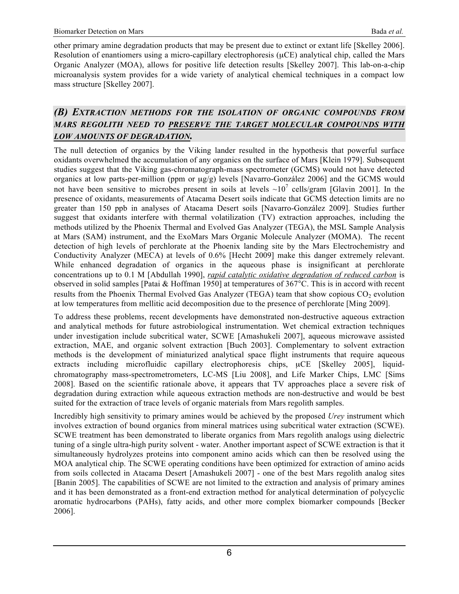other primary amine degradation products that may be present due to extinct or extant life [Skelley 2006]. Resolution of enantiomers using a micro-capillary electrophoresis ( $\mu$ CE) analytical chip, called the Mars Organic Analyzer (MOA), allows for positive life detection results [Skelley 2007]. This lab-on-a-chip microanalysis system provides for a wide variety of analytical chemical techniques in a compact low mass structure [Skelley 2007].

# *(B) EXTRACTION METHODS FOR THE ISOLATION OF ORGANIC COMPOUNDS FROM MARS REGOLITH NEED TO PRESERVE THE TARGET MOLECULAR COMPOUNDS WITH LOW AMOUNTS OF DEGRADATION.*

The null detection of organics by the Viking lander resulted in the hypothesis that powerful surface oxidants overwhelmed the accumulation of any organics on the surface of Mars [Klein 1979]. Subsequent studies suggest that the Viking gas-chromatograph-mass spectrometer (GCMS) would not have detected organics at low parts-per-million (ppm or µg/g) levels [Navarro-González 2006] and the GCMS would not have been sensitive to microbes present in soils at levels  $\sim 10^7$  cells/gram [Glavin 2001]. In the presence of oxidants, measurements of Atacama Desert soils indicate that GCMS detection limits are no greater than 150 ppb in analyses of Atacama Desert soils [Navarro-González 2009]. Studies further suggest that oxidants interfere with thermal volatilization (TV) extraction approaches, including the methods utilized by the Phoenix Thermal and Evolved Gas Analyzer (TEGA), the MSL Sample Analysis at Mars (SAM) instrument, and the ExoMars Mars Organic Molecule Analyzer (MOMA). The recent detection of high levels of perchlorate at the Phoenix landing site by the Mars Electrochemistry and Conductivity Analyzer (MECA) at levels of 0.6% [Hecht 2009] make this danger extremely relevant. While enhanced degradation of organics in the aqueous phase is insignificant at perchlorate concentrations up to 0.1 M [Abdullah 1990], *rapid catalytic oxidative degradation of reduced carbon* is observed in solid samples [Patai & Hoffman 1950] at temperatures of 367°C. This is in accord with recent results from the Phoenix Thermal Evolved Gas Analyzer (TEGA) team that show copious  $CO<sub>2</sub>$  evolution at low temperatures from mellitic acid decomposition due to the presence of perchlorate [Ming 2009].

To address these problems, recent developments have demonstrated non-destructive aqueous extraction and analytical methods for future astrobiological instrumentation. Wet chemical extraction techniques under investigation include subcritical water, SCWE [Amashukeli 2007], aqueous microwave assisted extraction, MAE, and organic solvent extraction [Buch 2003]. Complementary to solvent extraction methods is the development of miniaturized analytical space flight instruments that require aqueous extracts including microfluidic capillary electrophoresis chips,  $\mu$ CE [Skelley 2005], liquidchromatography mass-spectrometrometers, LC-MS [Liu 2008], and Life Marker Chips, LMC [Sims 2008]. Based on the scientific rationale above, it appears that TV approaches place a severe risk of degradation during extraction while aqueous extraction methods are non-destructive and would be best suited for the extraction of trace levels of organic materials from Mars regolith samples.

Incredibly high sensitivity to primary amines would be achieved by the proposed *Urey* instrument which involves extraction of bound organics from mineral matrices using subcritical water extraction (SCWE). SCWE treatment has been demonstrated to liberate organics from Mars regolith analogs using dielectric tuning of a single ultra-high purity solvent - water. Another important aspect of SCWE extraction is that it simultaneously hydrolyzes proteins into component amino acids which can then be resolved using the MOA analytical chip. The SCWE operating conditions have been optimized for extraction of amino acids from soils collected in Atacama Desert [Amashukeli 2007] - one of the best Mars regolith analog sites [Banin 2005]. The capabilities of SCWE are not limited to the extraction and analysis of primary amines and it has been demonstrated as a front-end extraction method for analytical determination of polycyclic aromatic hydrocarbons (PAHs), fatty acids, and other more complex biomarker compounds [Becker 2006].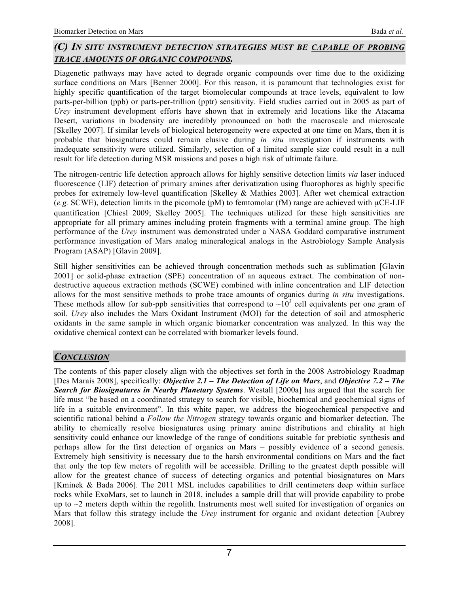## *(C) IN SITU INSTRUMENT DETECTION STRATEGIES MUST BE CAPABLE OF PROBING TRACE AMOUNTS OF ORGANIC COMPOUNDS.*

Diagenetic pathways may have acted to degrade organic compounds over time due to the oxidizing surface conditions on Mars [Benner 2000]. For this reason, it is paramount that technologies exist for highly specific quantification of the target biomolecular compounds at trace levels, equivalent to low parts-per-billion (ppb) or parts-per-trillion (pptr) sensitivity. Field studies carried out in 2005 as part of *Urey* instrument development efforts have shown that in extremely arid locations like the Atacama Desert, variations in biodensity are incredibly pronounced on both the macroscale and microscale [Skelley 2007]. If similar levels of biological heterogeneity were expected at one time on Mars, then it is probable that biosignatures could remain elusive during *in situ* investigation if instruments with inadequate sensitivity were utilized. Similarly, selection of a limited sample size could result in a null result for life detection during MSR missions and poses a high risk of ultimate failure.

The nitrogen-centric life detection approach allows for highly sensitive detection limits *via* laser induced fluorescence (LIF) detection of primary amines after derivatization using fluorophores as highly specific probes for extremely low-level quantification [Skelley & Mathies 2003]. After wet chemical extraction (*e.g.* SCWE), detection limits in the picomole (pM) to femtomolar (fM) range are achieved with µCE-LIF quantification [Chiesl 2009; Skelley 2005]. The techniques utilized for these high sensitivities are appropriate for all primary amines including protein fragments with a terminal amine group. The high performance of the *Urey* instrument was demonstrated under a NASA Goddard comparative instrument performance investigation of Mars analog mineralogical analogs in the Astrobiology Sample Analysis Program (ASAP) [Glavin 2009].

Still higher sensitivities can be achieved through concentration methods such as sublimation [Glavin 2001] or solid-phase extraction (SPE) concentration of an aqueous extract. The combination of nondestructive aqueous extraction methods (SCWE) combined with inline concentration and LIF detection allows for the most sensitive methods to probe trace amounts of organics during *in situ* investigations. These methods allow for sub-ppb sensitivities that correspond to  $\sim 10^3$  cell equivalents per one gram of soil. *Urey* also includes the Mars Oxidant Instrument (MOI) for the detection of soil and atmospheric oxidants in the same sample in which organic biomarker concentration was analyzed. In this way the oxidative chemical context can be correlated with biomarker levels found.

## *CONCLUSION*

The contents of this paper closely align with the objectives set forth in the 2008 Astrobiology Roadmap [Des Marais 2008], specifically: *Objective 2.1 – The Detection of Life on Mars*, and *Objective 7.2 – The Search for Biosignatures in Nearby Planetary Systems*. Westall [2000a] has argued that the search for life must "be based on a coordinated strategy to search for visible, biochemical and geochemical signs of life in a suitable environment". In this white paper, we address the biogeochemical perspective and scientific rational behind a *Follow the Nitrogen* strategy towards organic and biomarker detection. The ability to chemically resolve biosignatures using primary amine distributions and chirality at high sensitivity could enhance our knowledge of the range of conditions suitable for prebiotic synthesis and perhaps allow for the first detection of organics on Mars – possibly evidence of a second genesis. Extremely high sensitivity is necessary due to the harsh environmental conditions on Mars and the fact that only the top few meters of regolith will be accessible. Drilling to the greatest depth possible will allow for the greatest chance of success of detecting organics and potential biosignatures on Mars [Kminek & Bada 2006]. The 2011 MSL includes capabilities to drill centimeters deep within surface rocks while ExoMars, set to launch in 2018, includes a sample drill that will provide capability to probe up to  $\sim$ 2 meters depth within the regolith. Instruments most well suited for investigation of organics on Mars that follow this strategy include the *Urey* instrument for organic and oxidant detection [Aubrey 2008].